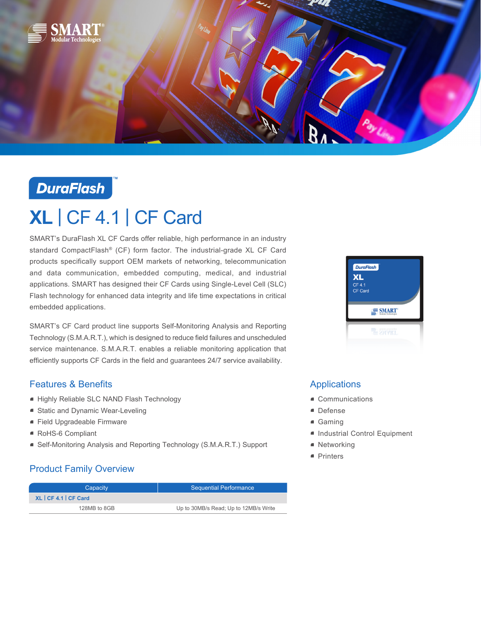

## **DuraFlash**

# **XL** | CF 4.1 | CF Card

SMART's DuraFlash XL CF Cards offer reliable, high performance in an industry standard CompactFlash® (CF) form factor. The industrial-grade XL CF Card products specifically support OEM markets of networking, telecommunication and data communication, embedded computing, medical, and industrial applications. SMART has designed their CF Cards using Single-Level Cell (SLC) Flash technology for enhanced data integrity and life time expectations in critical embedded applications.

SMART's CF Card product line supports Self-Monitoring Analysis and Reporting Technology (S.M.A.R.T.), which is designed to reduce field failures and unscheduled service maintenance. S.M.A.R.T. enables a reliable monitoring application that efficiently supports CF Cards in the field and guarantees 24/7 service availability.

### Features & Benefits

- Highly Reliable SLC NAND Flash Technology
- Static and Dynamic Wear-Leveling
- Field Upgradeable Firmware
- RoHS-6 Compliant
- Self-Monitoring Analysis and Reporting Technology (S.M.A.R.T.) Support

## Product Family Overview

| Capacity              | <b>Sequential Performance</b>         |  |
|-----------------------|---------------------------------------|--|
| XL   CF 4.1   CF Card |                                       |  |
| 128MB to 8GB          | Up to 30MB/s Read; Up to 12MB/s Write |  |



## Applications

- Communications
- Defense
- Gaming
- Industrial Control Equipment
- Networking
- Printers